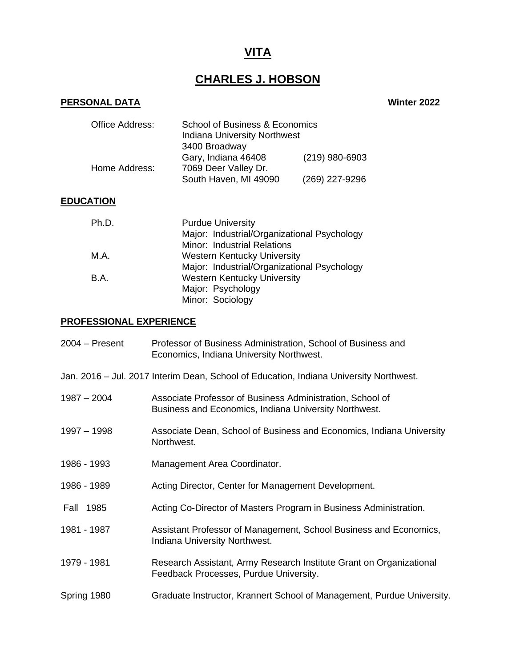# **VITA**

# **CHARLES J. HOBSON**

# **PERSONAL DATA Winter 2022**

| <b>Office Address:</b> | School of Business & Economics<br><b>Indiana University Northwest</b><br>3400 Broadway |                |
|------------------------|----------------------------------------------------------------------------------------|----------------|
| Home Address:          | Gary, Indiana 46408<br>7069 Deer Valley Dr.                                            | (219) 980-6903 |
|                        | South Haven, MI 49090                                                                  | (269) 227-9296 |

# **EDUCATION**

| Ph.D.       | <b>Purdue University</b>                    |  |
|-------------|---------------------------------------------|--|
|             | Major: Industrial/Organizational Psychology |  |
|             | Minor: Industrial Relations                 |  |
| M.A.        | <b>Western Kentucky University</b>          |  |
|             | Major: Industrial/Organizational Psychology |  |
| <b>B.A.</b> | <b>Western Kentucky University</b>          |  |
|             | Major: Psychology                           |  |
|             | Minor: Sociology                            |  |

# **PROFESSIONAL EXPERIENCE**

| $2004 -$ Present | Professor of Business Administration, School of Business and<br>Economics, Indiana University Northwest.           |
|------------------|--------------------------------------------------------------------------------------------------------------------|
|                  | Jan. 2016 - Jul. 2017 Interim Dean, School of Education, Indiana University Northwest.                             |
| $1987 - 2004$    | Associate Professor of Business Administration, School of<br>Business and Economics, Indiana University Northwest. |
| 1997 - 1998      | Associate Dean, School of Business and Economics, Indiana University<br>Northwest.                                 |
| 1986 - 1993      | Management Area Coordinator.                                                                                       |
| 1986 - 1989      | Acting Director, Center for Management Development.                                                                |
| Fall 1985        | Acting Co-Director of Masters Program in Business Administration.                                                  |
| 1981 - 1987      | Assistant Professor of Management, School Business and Economics,<br>Indiana University Northwest.                 |
| 1979 - 1981      | Research Assistant, Army Research Institute Grant on Organizational<br>Feedback Processes, Purdue University.      |
| Spring 1980      | Graduate Instructor, Krannert School of Management, Purdue University.                                             |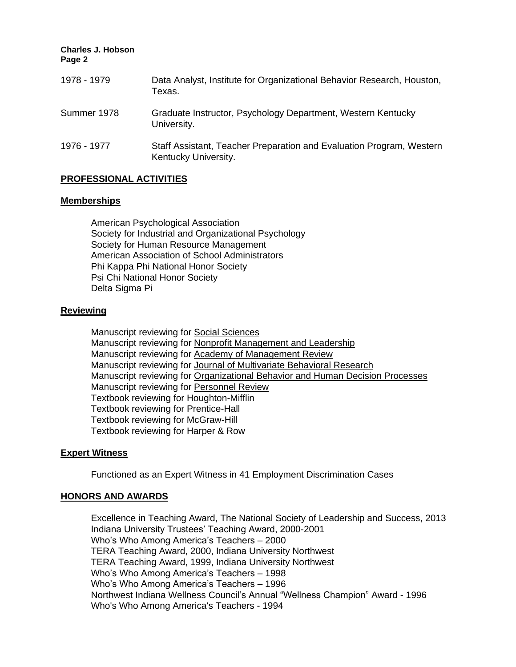**Charles J. Hobson Page 2** 1978 - 1979 Data Analyst, Institute for Organizational Behavior Research, Houston, Texas. Summer 1978 Graduate Instructor, Psychology Department, Western Kentucky University. 1976 - 1977 Staff Assistant, Teacher Preparation and Evaluation Program, Western Kentucky University.

# **PROFESSIONAL ACTIVITIES**

#### **Memberships**

American Psychological Association Society for Industrial and Organizational Psychology Society for Human Resource Management American Association of School Administrators Phi Kappa Phi National Honor Society Psi Chi National Honor Society Delta Sigma Pi

# **Reviewing**

Manuscript reviewing for Social Sciences Manuscript reviewing for Nonprofit Management and Leadership Manuscript reviewing for Academy of Management Review Manuscript reviewing for Journal of Multivariate Behavioral Research Manuscript reviewing for Organizational Behavior and Human Decision Processes Manuscript reviewing for Personnel Review Textbook reviewing for Houghton-Mifflin Textbook reviewing for Prentice-Hall Textbook reviewing for McGraw-Hill Textbook reviewing for Harper & Row

# **Expert Witness**

Functioned as an Expert Witness in 41 Employment Discrimination Cases

# **HONORS AND AWARDS**

Excellence in Teaching Award, The National Society of Leadership and Success, 2013 Indiana University Trustees' Teaching Award, 2000-2001 Who's Who Among America's Teachers – 2000 TERA Teaching Award, 2000, Indiana University Northwest TERA Teaching Award, 1999, Indiana University Northwest Who's Who Among America's Teachers – 1998 Who's Who Among America's Teachers – 1996 Northwest Indiana Wellness Council's Annual "Wellness Champion" Award - 1996 Who's Who Among America's Teachers - 1994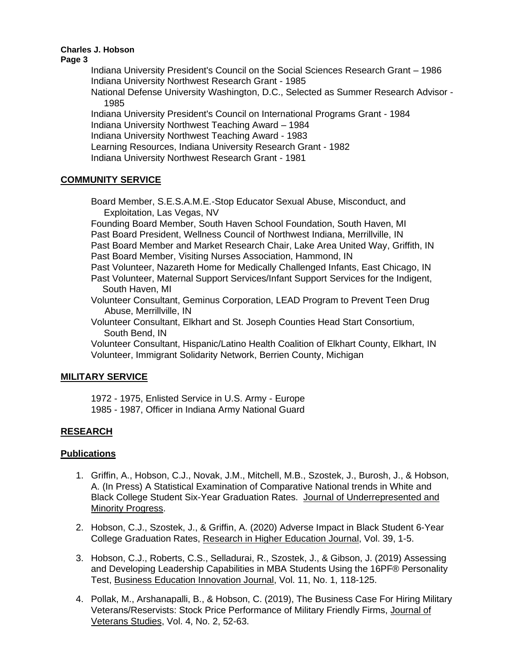**Page 3**

Indiana University President's Council on the Social Sciences Research Grant – 1986 Indiana University Northwest Research Grant - 1985 National Defense University Washington, D.C., Selected as Summer Research Advisor - 1985 Indiana University President's Council on International Programs Grant - 1984 Indiana University Northwest Teaching Award – 1984 Indiana University Northwest Teaching Award - 1983

Learning Resources, Indiana University Research Grant - 1982

Indiana University Northwest Research Grant - 1981

# **COMMUNITY SERVICE**

Board Member, S.E.S.A.M.E.-Stop Educator Sexual Abuse, Misconduct, and Exploitation, Las Vegas, NV

Founding Board Member, South Haven School Foundation, South Haven, MI Past Board President, Wellness Council of Northwest Indiana, Merrillville, IN Past Board Member and Market Research Chair, Lake Area United Way, Griffith, IN Past Board Member, Visiting Nurses Association, Hammond, IN

Past Volunteer, Nazareth Home for Medically Challenged Infants, East Chicago, IN Past Volunteer, Maternal Support Services/Infant Support Services for the Indigent, South Haven, MI

Volunteer Consultant, Geminus Corporation, LEAD Program to Prevent Teen Drug Abuse, Merrillville, IN

Volunteer Consultant, Elkhart and St. Joseph Counties Head Start Consortium, South Bend, IN

Volunteer Consultant, Hispanic/Latino Health Coalition of Elkhart County, Elkhart, IN Volunteer, Immigrant Solidarity Network, Berrien County, Michigan

# **MILITARY SERVICE**

1972 - 1975, Enlisted Service in U.S. Army - Europe 1985 - 1987, Officer in Indiana Army National Guard

# **RESEARCH**

# **Publications**

- 1. Griffin, A., Hobson, C.J., Novak, J.M., Mitchell, M.B., Szostek, J., Burosh, J., & Hobson, A. (In Press) A Statistical Examination of Comparative National trends in White and Black College Student Six-Year Graduation Rates. Journal of Underrepresented and Minority Progress.
- 2. Hobson, C.J., Szostek, J., & Griffin, A. (2020) Adverse Impact in Black Student 6-Year College Graduation Rates, Research in Higher Education Journal, Vol. 39, 1-5.
- 3. Hobson, C.J., Roberts, C.S., Selladurai, R., Szostek, J., & Gibson, J. (2019) Assessing and Developing Leadership Capabilities in MBA Students Using the 16PF® Personality Test, Business Education Innovation Journal, Vol. 11, No. 1, 118-125.
- 4. Pollak, M., Arshanapalli, B., & Hobson, C. (2019), The Business Case For Hiring Military Veterans/Reservists: Stock Price Performance of Military Friendly Firms, Journal of Veterans Studies, Vol. 4, No. 2, 52-63.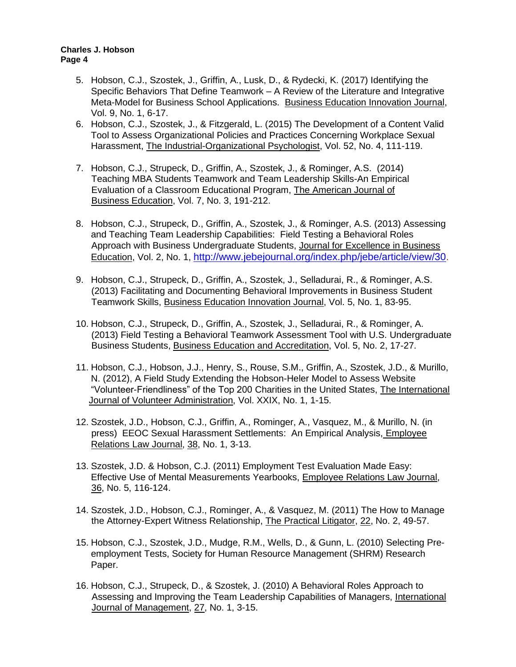- 5. Hobson, C.J., Szostek, J., Griffin, A., Lusk, D., & Rydecki, K. (2017) Identifying the Specific Behaviors That Define Teamwork – A Review of the Literature and Integrative Meta-Model for Business School Applications. Business Education Innovation Journal, Vol. 9, No. 1, 6-17.
- 6. Hobson, C.J., Szostek, J., & Fitzgerald, L. (2015) The Development of a Content Valid Tool to Assess Organizational Policies and Practices Concerning Workplace Sexual Harassment, The Industrial-Organizational Psychologist, Vol. 52, No. 4, 111-119.
- 7. Hobson, C.J., Strupeck, D., Griffin, A., Szostek, J., & Rominger, A.S. (2014) Teaching MBA Students Teamwork and Team Leadership Skills-An Empirical Evaluation of a Classroom Educational Program, The American Journal of Business Education, Vol. 7, No. 3, 191-212.
- 8. Hobson, C.J., Strupeck, D., Griffin, A., Szostek, J., & Rominger, A.S. (2013) Assessing and Teaching Team Leadership Capabilities: Field Testing a Behavioral Roles Approach with Business Undergraduate Students, Journal for Excellence in Business Education, Vol. 2, No. 1, [http://www.jebejournal.org/index.php/jebe/article/view/30.](http://www.jebejournal.org/index.php/jebe/article/view/30)
- 9. Hobson, C.J., Strupeck, D., Griffin, A., Szostek, J., Selladurai, R., & Rominger, A.S. (2013) Facilitating and Documenting Behavioral Improvements in Business Student Teamwork Skills, Business Education Innovation Journal, Vol. 5, No. 1, 83-95.
- 10. Hobson, C.J., Strupeck, D., Griffin, A., Szostek, J., Selladurai, R., & Rominger, A. (2013) Field Testing a Behavioral Teamwork Assessment Tool with U.S. Undergraduate Business Students, Business Education and Accreditation, Vol. 5, No. 2, 17-27.
- 11. Hobson, C.J., Hobson, J.J., Henry, S., Rouse, S.M., Griffin, A., Szostek, J.D., & Murillo, N. (2012), A Field Study Extending the Hobson-Heler Model to Assess Website "Volunteer-Friendliness" of the Top 200 Charities in the United States, The International Journal of Volunteer Administration, Vol. XXIX, No. 1, 1-15.
- 12. Szostek, J.D., Hobson, C.J., Griffin, A., Rominger, A., Vasquez, M., & Murillo, N. (in press) EEOC Sexual Harassment Settlements: An Empirical Analysis, Employee Relations Law Journal, 38, No. 1, 3-13.
- 13. Szostek, J.D. & Hobson, C.J. (2011) Employment Test Evaluation Made Easy: Effective Use of Mental Measurements Yearbooks, Employee Relations Law Journal, 36, No. 5, 116-124.
- 14. Szostek, J.D., Hobson, C.J., Rominger, A., & Vasquez, M. (2011) The How to Manage the Attorney-Expert Witness Relationship, The Practical Litigator, 22, No. 2, 49-57.
- 15. Hobson, C.J., Szostek, J.D., Mudge, R.M., Wells, D., & Gunn, L. (2010) Selecting Preemployment Tests, Society for Human Resource Management (SHRM) Research Paper.
- 16. Hobson, C.J., Strupeck, D., & Szostek, J. (2010) A Behavioral Roles Approach to Assessing and Improving the Team Leadership Capabilities of Managers, International Journal of Management, 27, No. 1, 3-15.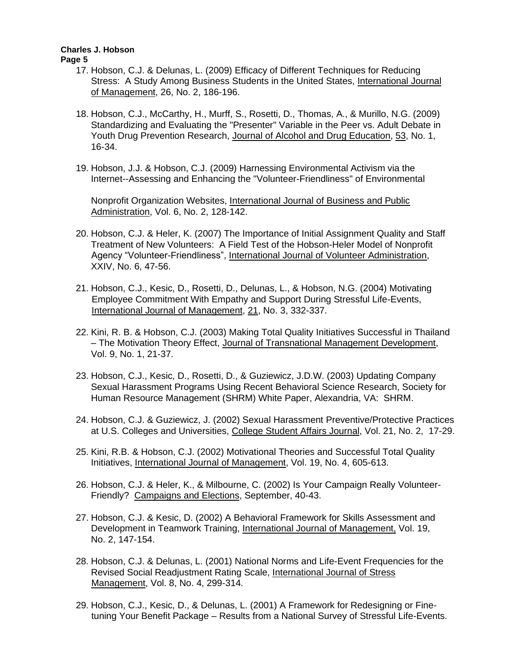**Page 5**

- 17. Hobson, C.J. & Delunas, L. (2009) Efficacy of Different Techniques for Reducing Stress: A Study Among Business Students in the United States, International Journal of Management, 26, No. 2, 186-196.
- 18. Hobson, C.J., McCarthy, H., Murff, S., Rosetti, D., Thomas, A., & Murillo, N.G. (2009) Standardizing and Evaluating the "Presenter" Variable in the Peer vs. Adult Debate in Youth Drug Prevention Research, Journal of Alcohol and Drug Education, 53, No. 1, 16-34.
- 19. Hobson, J.J. & Hobson, C.J. (2009) Harnessing Environmental Activism via the Internet--Assessing and Enhancing the "Volunteer-Friendliness" of Environmental

Nonprofit Organization Websites, International Journal of Business and Public Administration, Vol. 6, No. 2, 128-142.

- 20. Hobson, C.J. & Heler, K. (2007) The Importance of Initial Assignment Quality and Staff Treatment of New Volunteers: A Field Test of the Hobson-Heler Model of Nonprofit Agency "Volunteer-Friendliness", International Journal of Volunteer Administration, XXIV, No. 6, 47-56.
- 21. Hobson, C.J., Kesic, D., Rosetti, D., Delunas, L., & Hobson, N.G. (2004) Motivating Employee Commitment With Empathy and Support During Stressful Life-Events, International Journal of Management, 21, No. 3, 332-337.
- 22. Kini, R. B. & Hobson, C.J. (2003) Making Total Quality Initiatives Successful in Thailand – The Motivation Theory Effect, Journal of Transnational Management Development, Vol. 9, No. 1, 21-37.
- 23. Hobson, C.J., Kesic, D., Rosetti, D., & Guziewicz, J.D.W. (2003) Updating Company Sexual Harassment Programs Using Recent Behavioral Science Research, Society for Human Resource Management (SHRM) White Paper, Alexandria, VA: SHRM.
- 24. Hobson, C.J. & Guziewicz, J. (2002) Sexual Harassment Preventive/Protective Practices at U.S. Colleges and Universities, College Student Affairs Journal, Vol. 21, No. 2, 17-29.
- 25. Kini, R.B. & Hobson, C.J. (2002) Motivational Theories and Successful Total Quality Initiatives, International Journal of Management, Vol. 19, No. 4, 605-613.
- 26. Hobson, C.J. & Heler, K., & Milbourne, C. (2002) Is Your Campaign Really Volunteer-Friendly? Campaigns and Elections, September, 40-43.
- 27. Hobson, C.J. & Kesic, D. (2002) A Behavioral Framework for Skills Assessment and Development in Teamwork Training, International Journal of Management, Vol. 19, No. 2, 147-154.
- 28. Hobson, C.J. & Delunas, L. (2001) National Norms and Life-Event Frequencies for the Revised Social Readjustment Rating Scale, International Journal of Stress Management, Vol. 8, No. 4, 299-314.
- 29. Hobson, C.J., Kesic, D., & Delunas, L. (2001) A Framework for Redesigning or Fine tuning Your Benefit Package – Results from a National Survey of Stressful Life-Events.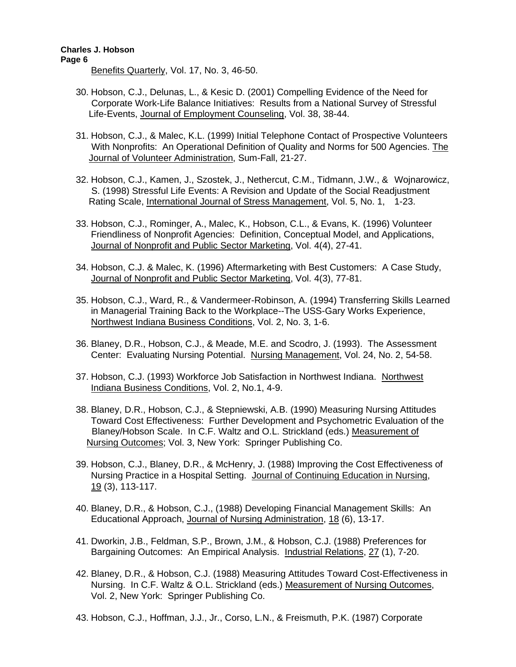**Page 6**

Benefits Quarterly, Vol. 17, No. 3, 46-50.

- 30. Hobson, C.J., Delunas, L., & Kesic D. (2001) Compelling Evidence of the Need for Corporate Work-Life Balance Initiatives: Results from a National Survey of Stressful Life-Events, Journal of Employment Counseling, Vol. 38, 38-44.
- 31. Hobson, C.J., & Malec, K.L. (1999) Initial Telephone Contact of Prospective Volunteers With Nonprofits: An Operational Definition of Quality and Norms for 500 Agencies. The Journal of Volunteer Administration, Sum-Fall, 21-27.
- 32. Hobson, C.J., Kamen, J., Szostek, J., Nethercut, C.M., Tidmann, J.W., & Wojnarowicz, S. (1998) Stressful Life Events: A Revision and Update of the Social Readjustment Rating Scale, International Journal of Stress Management, Vol. 5, No. 1, 1-23.
- 33. Hobson, C.J., Rominger, A., Malec, K., Hobson, C.L., & Evans, K. (1996) Volunteer Friendliness of Nonprofit Agencies: Definition, Conceptual Model, and Applications, Journal of Nonprofit and Public Sector Marketing, Vol. 4(4), 27-41.
- 34. Hobson, C.J. & Malec, K. (1996) Aftermarketing with Best Customers: A Case Study, Journal of Nonprofit and Public Sector Marketing, Vol. 4(3), 77-81.
- 35. Hobson, C.J., Ward, R., & Vandermeer-Robinson, A. (1994) Transferring Skills Learned in Managerial Training Back to the Workplace--The USS-Gary Works Experience, Northwest Indiana Business Conditions, Vol. 2, No. 3, 1-6.
- 36. Blaney, D.R., Hobson, C.J., & Meade, M.E. and Scodro, J. (1993). The Assessment Center: Evaluating Nursing Potential. Nursing Management, Vol. 24, No. 2, 54-58.
- 37. Hobson, C.J. (1993) Workforce Job Satisfaction in Northwest Indiana. Northwest Indiana Business Conditions, Vol. 2, No.1, 4-9.
- 38. Blaney, D.R., Hobson, C.J., & Stepniewski, A.B. (1990) Measuring Nursing Attitudes Toward Cost Effectiveness: Further Development and Psychometric Evaluation of the Blaney/Hobson Scale. In C.F. Waltz and O.L. Strickland (eds.) Measurement of Nursing Outcomes; Vol. 3, New York: Springer Publishing Co.
- 39. Hobson, C.J., Blaney, D.R., & McHenry, J. (1988) Improving the Cost Effectiveness of Nursing Practice in a Hospital Setting. Journal of Continuing Education in Nursing, 19 (3), 113-117.
- 40. Blaney, D.R., & Hobson, C.J., (1988) Developing Financial Management Skills: An Educational Approach, Journal of Nursing Administration, 18 (6), 13-17.
- 41. Dworkin, J.B., Feldman, S.P., Brown, J.M., & Hobson, C.J. (1988) Preferences for Bargaining Outcomes: An Empirical Analysis. Industrial Relations, 27 (1), 7-20.
- 42. Blaney, D.R., & Hobson, C.J. (1988) Measuring Attitudes Toward Cost-Effectiveness in Nursing. In C.F. Waltz & O.L. Strickland (eds.) Measurement of Nursing Outcomes, Vol. 2, New York: Springer Publishing Co.
- 43. Hobson, C.J., Hoffman, J.J., Jr., Corso, L.N., & Freismuth, P.K. (1987) Corporate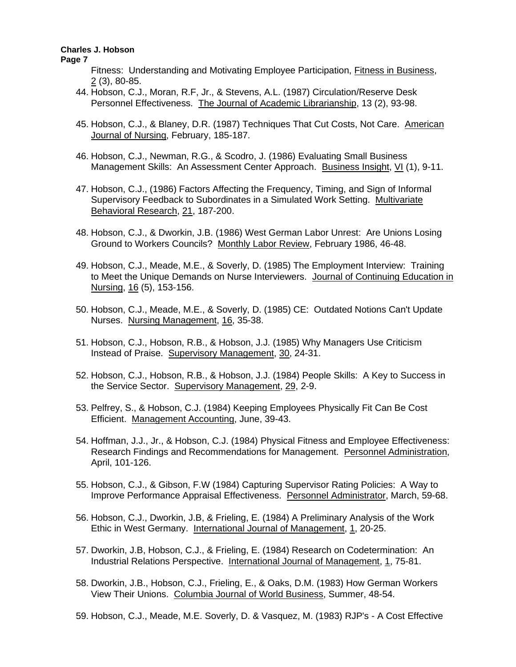**Page 7**

Fitness: Understanding and Motivating Employee Participation, Fitness in Business, 2 (3), 80-85.

- 44. Hobson, C.J., Moran, R.F, Jr., & Stevens, A.L. (1987) Circulation/Reserve Desk Personnel Effectiveness. The Journal of Academic Librarianship, 13 (2), 93-98.
- 45. Hobson, C.J., & Blaney, D.R. (1987) Techniques That Cut Costs, Not Care. American Journal of Nursing, February, 185-187.
- 46. Hobson, C.J., Newman, R.G., & Scodro, J. (1986) Evaluating Small Business Management Skills: An Assessment Center Approach. Business Insight, VI (1), 9-11.
- 47. Hobson, C.J., (1986) Factors Affecting the Frequency, Timing, and Sign of Informal Supervisory Feedback to Subordinates in a Simulated Work Setting. Multivariate Behavioral Research, 21, 187-200.
- 48. Hobson, C.J., & Dworkin, J.B. (1986) West German Labor Unrest: Are Unions Losing Ground to Workers Councils? Monthly Labor Review, February 1986, 46-48.
- 49. Hobson, C.J., Meade, M.E., & Soverly, D. (1985) The Employment Interview: Training to Meet the Unique Demands on Nurse Interviewers. Journal of Continuing Education in Nursing, 16 (5), 153-156.
- 50. Hobson, C.J., Meade, M.E., & Soverly, D. (1985) CE: Outdated Notions Can't Update Nurses. Nursing Management, 16, 35-38.
- 51. Hobson, C.J., Hobson, R.B., & Hobson, J.J. (1985) Why Managers Use Criticism Instead of Praise. Supervisory Management, 30, 24-31.
- 52. Hobson, C.J., Hobson, R.B., & Hobson, J.J. (1984) People Skills: A Key to Success in the Service Sector. Supervisory Management, 29, 2-9.
- 53. Pelfrey, S., & Hobson, C.J. (1984) Keeping Employees Physically Fit Can Be Cost Efficient. Management Accounting, June, 39-43.
- 54. Hoffman, J.J., Jr., & Hobson, C.J. (1984) Physical Fitness and Employee Effectiveness: Research Findings and Recommendations for Management. Personnel Administration, April, 101-126.
- 55. Hobson, C.J., & Gibson, F.W (1984) Capturing Supervisor Rating Policies: A Way to Improve Performance Appraisal Effectiveness. Personnel Administrator, March, 59-68.
- 56. Hobson, C.J., Dworkin, J.B, & Frieling, E. (1984) A Preliminary Analysis of the Work Ethic in West Germany. International Journal of Management, 1, 20-25.
- 57. Dworkin, J.B, Hobson, C.J., & Frieling, E. (1984) Research on Codetermination: An Industrial Relations Perspective. International Journal of Management, 1, 75-81.
- 58. Dworkin, J.B., Hobson, C.J., Frieling, E., & Oaks, D.M. (1983) How German Workers View Their Unions. Columbia Journal of World Business, Summer, 48-54.
- 59. Hobson, C.J., Meade, M.E. Soverly, D. & Vasquez, M. (1983) RJP's A Cost Effective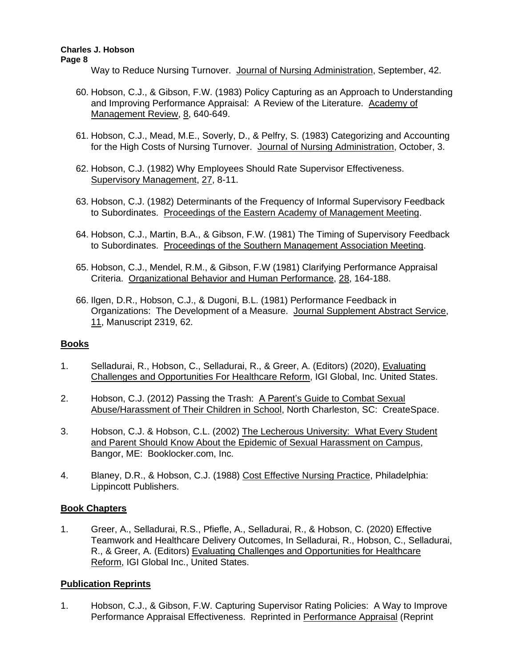Way to Reduce Nursing Turnover. Journal of Nursing Administration, September, 42.

- 60. Hobson, C.J., & Gibson, F.W. (1983) Policy Capturing as an Approach to Understanding and Improving Performance Appraisal: A Review of the Literature. Academy of Management Review, 8, 640-649.
- 61. Hobson, C.J., Mead, M.E., Soverly, D., & Pelfry, S. (1983) Categorizing and Accounting for the High Costs of Nursing Turnover. Journal of Nursing Administration, October, 3.
- 62. Hobson, C.J. (1982) Why Employees Should Rate Supervisor Effectiveness. Supervisory Management, 27, 8-11.
- 63. Hobson, C.J. (1982) Determinants of the Frequency of Informal Supervisory Feedback to Subordinates. Proceedings of the Eastern Academy of Management Meeting.
- 64. Hobson, C.J., Martin, B.A., & Gibson, F.W. (1981) The Timing of Supervisory Feedback to Subordinates. Proceedings of the Southern Management Association Meeting.
- 65. Hobson, C.J., Mendel, R.M., & Gibson, F.W (1981) Clarifying Performance Appraisal Criteria. Organizational Behavior and Human Performance, 28, 164-188.
- 66. Ilgen, D.R., Hobson, C.J., & Dugoni, B.L. (1981) Performance Feedback in Organizations: The Development of a Measure. Journal Supplement Abstract Service, 11, Manuscript 2319, 62.

# **Books**

- 1. Selladurai, R., Hobson, C., Selladurai, R., & Greer, A. (Editors) (2020), Evaluating Challenges and Opportunities For Healthcare Reform, IGI Global, Inc. United States.
- 2. Hobson, C.J. (2012) Passing the Trash: A Parent's Guide to Combat Sexual Abuse/Harassment of Their Children in School, North Charleston, SC: CreateSpace.
- 3. Hobson, C.J. & Hobson, C.L. (2002) The Lecherous University: What Every Student and Parent Should Know About the Epidemic of Sexual Harassment on Campus, Bangor, ME: Booklocker.com, Inc.
- 4. Blaney, D.R., & Hobson, C.J. (1988) Cost Effective Nursing Practice, Philadelphia: Lippincott Publishers.

# **Book Chapters**

1. Greer, A., Selladurai, R.S., Pfiefle, A., Selladurai, R., & Hobson, C. (2020) Effective Teamwork and Healthcare Delivery Outcomes, In Selladurai, R., Hobson, C., Selladurai, R., & Greer, A. (Editors) Evaluating Challenges and Opportunities for Healthcare Reform, IGI Global Inc., United States.

# **Publication Reprints**

1. Hobson, C.J., & Gibson, F.W. Capturing Supervisor Rating Policies: A Way to Improve Performance Appraisal Effectiveness. Reprinted in Performance Appraisal (Reprint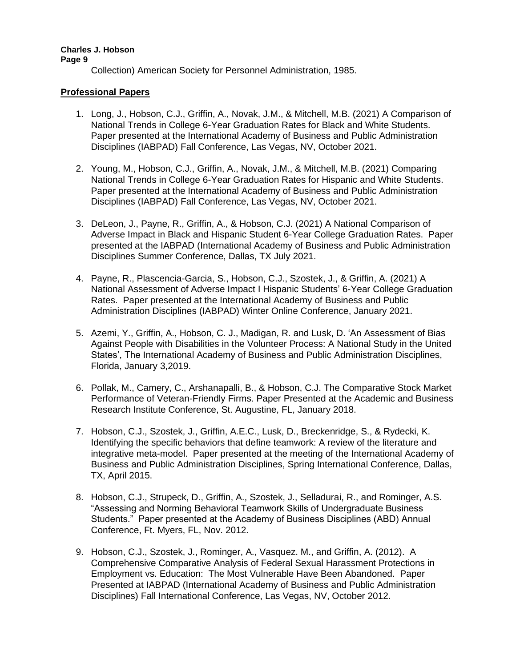Collection) American Society for Personnel Administration, 1985.

# **Professional Papers**

- 1. Long, J., Hobson, C.J., Griffin, A., Novak, J.M., & Mitchell, M.B. (2021) A Comparison of National Trends in College 6-Year Graduation Rates for Black and White Students. Paper presented at the International Academy of Business and Public Administration Disciplines (IABPAD) Fall Conference, Las Vegas, NV, October 2021.
- 2. Young, M., Hobson, C.J., Griffin, A., Novak, J.M., & Mitchell, M.B. (2021) Comparing National Trends in College 6-Year Graduation Rates for Hispanic and White Students. Paper presented at the International Academy of Business and Public Administration Disciplines (IABPAD) Fall Conference, Las Vegas, NV, October 2021.
- 3. DeLeon, J., Payne, R., Griffin, A., & Hobson, C.J. (2021) A National Comparison of Adverse Impact in Black and Hispanic Student 6-Year College Graduation Rates. Paper presented at the IABPAD (International Academy of Business and Public Administration Disciplines Summer Conference, Dallas, TX July 2021.
- 4. Payne, R., Plascencia-Garcia, S., Hobson, C.J., Szostek, J., & Griffin, A. (2021) A National Assessment of Adverse Impact I Hispanic Students' 6-Year College Graduation Rates. Paper presented at the International Academy of Business and Public Administration Disciplines (IABPAD) Winter Online Conference, January 2021.
- 5. Azemi, Y., Griffin, A., Hobson, C. J., Madigan, R. and Lusk, D. 'An Assessment of Bias Against People with Disabilities in the Volunteer Process: A National Study in the United States', The International Academy of Business and Public Administration Disciplines, Florida, January 3,2019.
- 6. Pollak, M., Camery, C., Arshanapalli, B., & Hobson, C.J. The Comparative Stock Market Performance of Veteran-Friendly Firms. Paper Presented at the Academic and Business Research Institute Conference, St. Augustine, FL, January 2018.
- 7. Hobson, C.J., Szostek, J., Griffin, A.E.C., Lusk, D., Breckenridge, S., & Rydecki, K. Identifying the specific behaviors that define teamwork: A review of the literature and integrative meta-model. Paper presented at the meeting of the International Academy of Business and Public Administration Disciplines, Spring International Conference, Dallas, TX, April 2015.
- 8. Hobson, C.J., Strupeck, D., Griffin, A., Szostek, J., Selladurai, R., and Rominger, A.S. "Assessing and Norming Behavioral Teamwork Skills of Undergraduate Business Students." Paper presented at the Academy of Business Disciplines (ABD) Annual Conference, Ft. Myers, FL, Nov. 2012.
- 9. Hobson, C.J., Szostek, J., Rominger, A., Vasquez. M., and Griffin, A. (2012). A Comprehensive Comparative Analysis of Federal Sexual Harassment Protections in Employment vs. Education: The Most Vulnerable Have Been Abandoned. Paper Presented at IABPAD (International Academy of Business and Public Administration Disciplines) Fall International Conference, Las Vegas, NV, October 2012.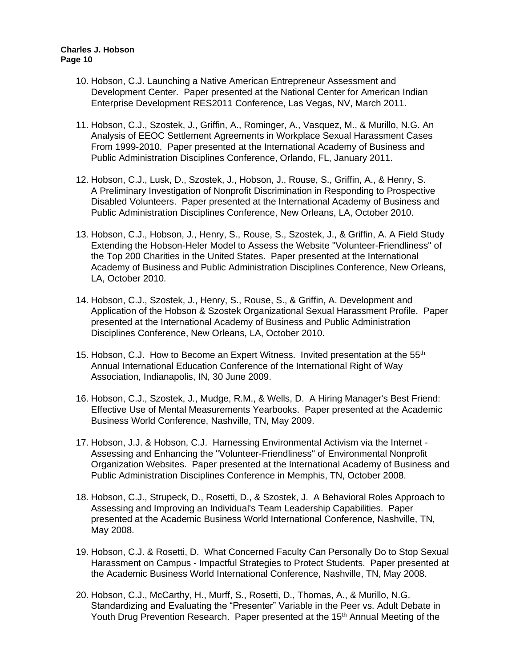- 10. Hobson, C.J. Launching a Native American Entrepreneur Assessment and Development Center. Paper presented at the National Center for American Indian Enterprise Development RES2011 Conference, Las Vegas, NV, March 2011.
- 11. Hobson, C.J., Szostek, J., Griffin, A., Rominger, A., Vasquez, M., & Murillo, N.G. An Analysis of EEOC Settlement Agreements in Workplace Sexual Harassment Cases From 1999-2010. Paper presented at the International Academy of Business and Public Administration Disciplines Conference, Orlando, FL, January 2011.
- 12. Hobson, C.J., Lusk, D., Szostek, J., Hobson, J., Rouse, S., Griffin, A., & Henry, S. A Preliminary Investigation of Nonprofit Discrimination in Responding to Prospective Disabled Volunteers. Paper presented at the International Academy of Business and Public Administration Disciplines Conference, New Orleans, LA, October 2010.
- 13. Hobson, C.J., Hobson, J., Henry, S., Rouse, S., Szostek, J., & Griffin, A. A Field Study Extending the Hobson-Heler Model to Assess the Website "Volunteer-Friendliness" of the Top 200 Charities in the United States. Paper presented at the International Academy of Business and Public Administration Disciplines Conference, New Orleans, LA, October 2010.
- 14. Hobson, C.J., Szostek, J., Henry, S., Rouse, S., & Griffin, A. Development and Application of the Hobson & Szostek Organizational Sexual Harassment Profile. Paper presented at the International Academy of Business and Public Administration Disciplines Conference, New Orleans, LA, October 2010.
- 15. Hobson, C.J. How to Become an Expert Witness. Invited presentation at the  $55<sup>th</sup>$ Annual International Education Conference of the International Right of Way Association, Indianapolis, IN, 30 June 2009.
- 16. Hobson, C.J., Szostek, J., Mudge, R.M., & Wells, D. A Hiring Manager's Best Friend: Effective Use of Mental Measurements Yearbooks. Paper presented at the Academic Business World Conference, Nashville, TN, May 2009.
- 17. Hobson, J.J. & Hobson, C.J. Harnessing Environmental Activism via the Internet Assessing and Enhancing the "Volunteer-Friendliness" of Environmental Nonprofit Organization Websites. Paper presented at the International Academy of Business and Public Administration Disciplines Conference in Memphis, TN, October 2008.
- 18. Hobson, C.J., Strupeck, D., Rosetti, D., & Szostek, J. A Behavioral Roles Approach to Assessing and Improving an Individual's Team Leadership Capabilities. Paper presented at the Academic Business World International Conference, Nashville, TN, May 2008.
- 19. Hobson, C.J. & Rosetti, D. What Concerned Faculty Can Personally Do to Stop Sexual Harassment on Campus - Impactful Strategies to Protect Students. Paper presented at the Academic Business World International Conference, Nashville, TN, May 2008.
- 20. Hobson, C.J., McCarthy, H., Murff, S., Rosetti, D., Thomas, A., & Murillo, N.G. Standardizing and Evaluating the "Presenter" Variable in the Peer vs. Adult Debate in Youth Drug Prevention Research. Paper presented at the 15<sup>th</sup> Annual Meeting of the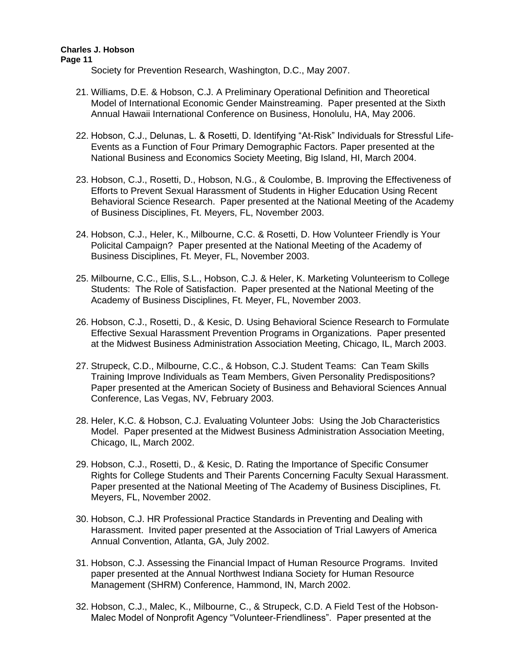**Page 11**

Society for Prevention Research, Washington, D.C., May 2007.

- 21. Williams, D.E. & Hobson, C.J. A Preliminary Operational Definition and Theoretical Model of International Economic Gender Mainstreaming. Paper presented at the Sixth Annual Hawaii International Conference on Business, Honolulu, HA, May 2006.
- 22. Hobson, C.J., Delunas, L. & Rosetti, D. Identifying "At-Risk" Individuals for Stressful Life-Events as a Function of Four Primary Demographic Factors. Paper presented at the National Business and Economics Society Meeting, Big Island, HI, March 2004.
- 23. Hobson, C.J., Rosetti, D., Hobson, N.G., & Coulombe, B. Improving the Effectiveness of Efforts to Prevent Sexual Harassment of Students in Higher Education Using Recent Behavioral Science Research. Paper presented at the National Meeting of the Academy of Business Disciplines, Ft. Meyers, FL, November 2003.
- 24. Hobson, C.J., Heler, K., Milbourne, C.C. & Rosetti, D. How Volunteer Friendly is Your Policital Campaign? Paper presented at the National Meeting of the Academy of Business Disciplines, Ft. Meyer, FL, November 2003.
- 25. Milbourne, C.C., Ellis, S.L., Hobson, C.J. & Heler, K. Marketing Volunteerism to College Students: The Role of Satisfaction. Paper presented at the National Meeting of the Academy of Business Disciplines, Ft. Meyer, FL, November 2003.
- 26. Hobson, C.J., Rosetti, D., & Kesic, D. Using Behavioral Science Research to Formulate Effective Sexual Harassment Prevention Programs in Organizations. Paper presented at the Midwest Business Administration Association Meeting, Chicago, IL, March 2003.
- 27. Strupeck, C.D., Milbourne, C.C., & Hobson, C.J. Student Teams: Can Team Skills Training Improve Individuals as Team Members, Given Personality Predispositions? Paper presented at the American Society of Business and Behavioral Sciences Annual Conference, Las Vegas, NV, February 2003.
- 28. Heler, K.C. & Hobson, C.J. Evaluating Volunteer Jobs: Using the Job Characteristics Model. Paper presented at the Midwest Business Administration Association Meeting, Chicago, IL, March 2002.
- 29. Hobson, C.J., Rosetti, D., & Kesic, D. Rating the Importance of Specific Consumer Rights for College Students and Their Parents Concerning Faculty Sexual Harassment. Paper presented at the National Meeting of The Academy of Business Disciplines, Ft. Meyers, FL, November 2002.
- 30. Hobson, C.J. HR Professional Practice Standards in Preventing and Dealing with Harassment. Invited paper presented at the Association of Trial Lawyers of America Annual Convention, Atlanta, GA, July 2002.
- 31. Hobson, C.J. Assessing the Financial Impact of Human Resource Programs. Invited paper presented at the Annual Northwest Indiana Society for Human Resource Management (SHRM) Conference, Hammond, IN, March 2002.
- 32. Hobson, C.J., Malec, K., Milbourne, C., & Strupeck, C.D. A Field Test of the Hobson-Malec Model of Nonprofit Agency "Volunteer-Friendliness". Paper presented at the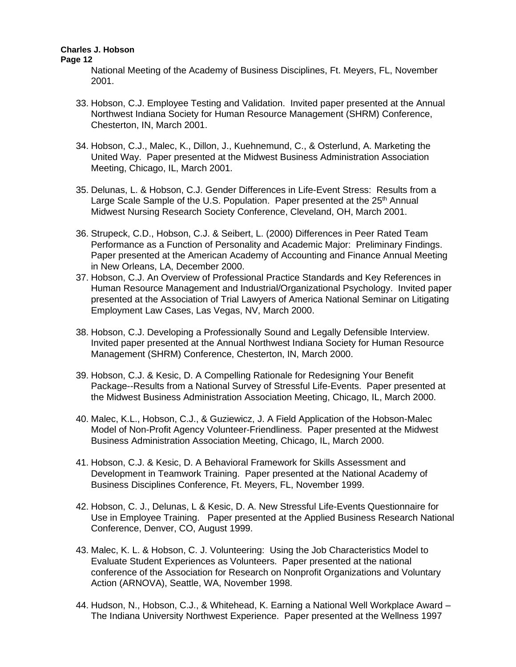#### **Page 12**

National Meeting of the Academy of Business Disciplines, Ft. Meyers, FL, November 2001.

- 33. Hobson, C.J. Employee Testing and Validation. Invited paper presented at the Annual Northwest Indiana Society for Human Resource Management (SHRM) Conference, Chesterton, IN, March 2001.
- 34. Hobson, C.J., Malec, K., Dillon, J., Kuehnemund, C., & Osterlund, A. Marketing the United Way. Paper presented at the Midwest Business Administration Association Meeting, Chicago, IL, March 2001.
- 35. Delunas, L. & Hobson, C.J. Gender Differences in Life-Event Stress: Results from a Large Scale Sample of the U.S. Population. Paper presented at the  $25<sup>th</sup>$  Annual Midwest Nursing Research Society Conference, Cleveland, OH, March 2001.
- 36. Strupeck, C.D., Hobson, C.J. & Seibert, L. (2000) Differences in Peer Rated Team Performance as a Function of Personality and Academic Major: Preliminary Findings. Paper presented at the American Academy of Accounting and Finance Annual Meeting in New Orleans, LA, December 2000.
- 37. Hobson, C.J. An Overview of Professional Practice Standards and Key References in Human Resource Management and Industrial/Organizational Psychology. Invited paper presented at the Association of Trial Lawyers of America National Seminar on Litigating Employment Law Cases, Las Vegas, NV, March 2000.
- 38. Hobson, C.J. Developing a Professionally Sound and Legally Defensible Interview. Invited paper presented at the Annual Northwest Indiana Society for Human Resource Management (SHRM) Conference, Chesterton, IN, March 2000.
- 39. Hobson, C.J. & Kesic, D. A Compelling Rationale for Redesigning Your Benefit Package--Results from a National Survey of Stressful Life-Events. Paper presented at the Midwest Business Administration Association Meeting, Chicago, IL, March 2000.
- 40. Malec, K.L., Hobson, C.J., & Guziewicz, J. A Field Application of the Hobson-Malec Model of Non-Profit Agency Volunteer-Friendliness. Paper presented at the Midwest Business Administration Association Meeting, Chicago, IL, March 2000.
- 41. Hobson, C.J. & Kesic, D. A Behavioral Framework for Skills Assessment and Development in Teamwork Training. Paper presented at the National Academy of Business Disciplines Conference, Ft. Meyers, FL, November 1999.
- 42. Hobson, C. J., Delunas, L & Kesic, D. A. New Stressful Life-Events Questionnaire for Use in Employee Training. Paper presented at the Applied Business Research National Conference, Denver, CO, August 1999.
- 43. Malec, K. L. & Hobson, C. J. Volunteering: Using the Job Characteristics Model to Evaluate Student Experiences as Volunteers. Paper presented at the national conference of the Association for Research on Nonprofit Organizations and Voluntary Action (ARNOVA), Seattle, WA, November 1998.
- 44. Hudson, N., Hobson, C.J., & Whitehead, K. Earning a National Well Workplace Award The Indiana University Northwest Experience. Paper presented at the Wellness 1997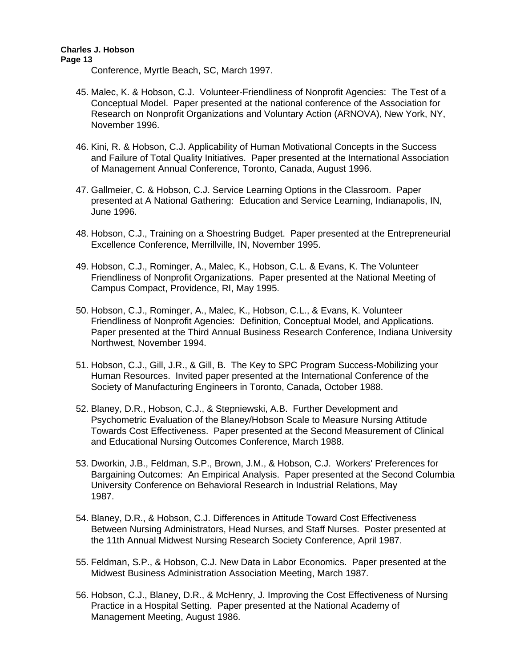Conference, Myrtle Beach, SC, March 1997.

- 45. Malec, K. & Hobson, C.J. Volunteer-Friendliness of Nonprofit Agencies: The Test of a Conceptual Model. Paper presented at the national conference of the Association for Research on Nonprofit Organizations and Voluntary Action (ARNOVA), New York, NY, November 1996.
- 46. Kini, R. & Hobson, C.J. Applicability of Human Motivational Concepts in the Success and Failure of Total Quality Initiatives. Paper presented at the International Association of Management Annual Conference, Toronto, Canada, August 1996.
- 47. Gallmeier, C. & Hobson, C.J. Service Learning Options in the Classroom. Paper presented at A National Gathering: Education and Service Learning, Indianapolis, IN, June 1996.
- 48. Hobson, C.J., Training on a Shoestring Budget. Paper presented at the Entrepreneurial Excellence Conference, Merrillville, IN, November 1995.
- 49. Hobson, C.J., Rominger, A., Malec, K., Hobson, C.L. & Evans, K. The Volunteer Friendliness of Nonprofit Organizations. Paper presented at the National Meeting of Campus Compact, Providence, RI, May 1995.
- 50. Hobson, C.J., Rominger, A., Malec, K., Hobson, C.L., & Evans, K. Volunteer Friendliness of Nonprofit Agencies: Definition, Conceptual Model, and Applications. Paper presented at the Third Annual Business Research Conference, Indiana University Northwest, November 1994.
- 51. Hobson, C.J., Gill, J.R., & Gill, B. The Key to SPC Program Success-Mobilizing your Human Resources. Invited paper presented at the International Conference of the Society of Manufacturing Engineers in Toronto, Canada, October 1988.
- 52. Blaney, D.R., Hobson, C.J., & Stepniewski, A.B. Further Development and Psychometric Evaluation of the Blaney/Hobson Scale to Measure Nursing Attitude Towards Cost Effectiveness. Paper presented at the Second Measurement of Clinical and Educational Nursing Outcomes Conference, March 1988.
- 53. Dworkin, J.B., Feldman, S.P., Brown, J.M., & Hobson, C.J. Workers' Preferences for Bargaining Outcomes: An Empirical Analysis. Paper presented at the Second Columbia University Conference on Behavioral Research in Industrial Relations, May 1987.
- 54. Blaney, D.R., & Hobson, C.J. Differences in Attitude Toward Cost Effectiveness Between Nursing Administrators, Head Nurses, and Staff Nurses. Poster presented at the 11th Annual Midwest Nursing Research Society Conference, April 1987.
- 55. Feldman, S.P., & Hobson, C.J. New Data in Labor Economics. Paper presented at the Midwest Business Administration Association Meeting, March 1987.
- 56. Hobson, C.J., Blaney, D.R., & McHenry, J. Improving the Cost Effectiveness of Nursing Practice in a Hospital Setting. Paper presented at the National Academy of Management Meeting, August 1986.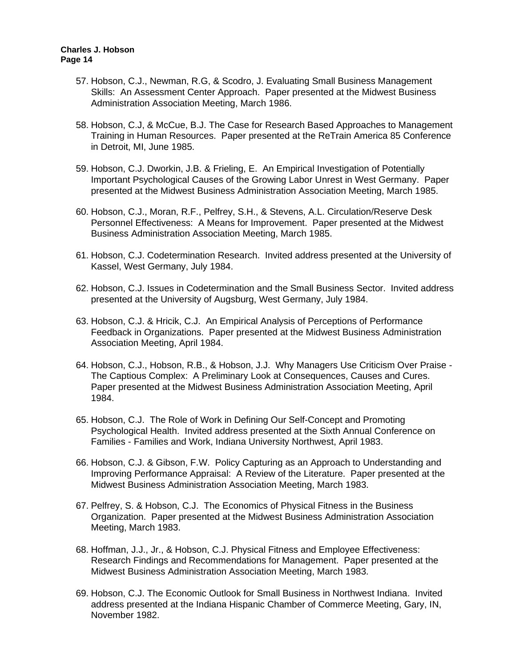- 57. Hobson, C.J., Newman, R.G, & Scodro, J. Evaluating Small Business Management Skills: An Assessment Center Approach. Paper presented at the Midwest Business Administration Association Meeting, March 1986.
- 58. Hobson, C.J, & McCue, B.J. The Case for Research Based Approaches to Management Training in Human Resources. Paper presented at the ReTrain America 85 Conference in Detroit, MI, June 1985.
- 59. Hobson, C.J. Dworkin, J.B. & Frieling, E. An Empirical Investigation of Potentially Important Psychological Causes of the Growing Labor Unrest in West Germany. Paper presented at the Midwest Business Administration Association Meeting, March 1985.
- 60. Hobson, C.J., Moran, R.F., Pelfrey, S.H., & Stevens, A.L. Circulation/Reserve Desk Personnel Effectiveness: A Means for Improvement. Paper presented at the Midwest Business Administration Association Meeting, March 1985.
- 61. Hobson, C.J. Codetermination Research. Invited address presented at the University of Kassel, West Germany, July 1984.
- 62. Hobson, C.J. Issues in Codetermination and the Small Business Sector. Invited address presented at the University of Augsburg, West Germany, July 1984.
- 63. Hobson, C.J. & Hricik, C.J. An Empirical Analysis of Perceptions of Performance Feedback in Organizations. Paper presented at the Midwest Business Administration Association Meeting, April 1984.
- 64. Hobson, C.J., Hobson, R.B., & Hobson, J.J. Why Managers Use Criticism Over Praise The Captious Complex: A Preliminary Look at Consequences, Causes and Cures. Paper presented at the Midwest Business Administration Association Meeting, April 1984.
- 65. Hobson, C.J. The Role of Work in Defining Our Self-Concept and Promoting Psychological Health. Invited address presented at the Sixth Annual Conference on Families - Families and Work, Indiana University Northwest, April 1983.
- 66. Hobson, C.J. & Gibson, F.W. Policy Capturing as an Approach to Understanding and Improving Performance Appraisal: A Review of the Literature. Paper presented at the Midwest Business Administration Association Meeting, March 1983.
- 67. Pelfrey, S. & Hobson, C.J. The Economics of Physical Fitness in the Business Organization. Paper presented at the Midwest Business Administration Association Meeting, March 1983.
- 68. Hoffman, J.J., Jr., & Hobson, C.J. Physical Fitness and Employee Effectiveness: Research Findings and Recommendations for Management. Paper presented at the Midwest Business Administration Association Meeting, March 1983.
- 69. Hobson, C.J. The Economic Outlook for Small Business in Northwest Indiana. Invited address presented at the Indiana Hispanic Chamber of Commerce Meeting, Gary, IN, November 1982.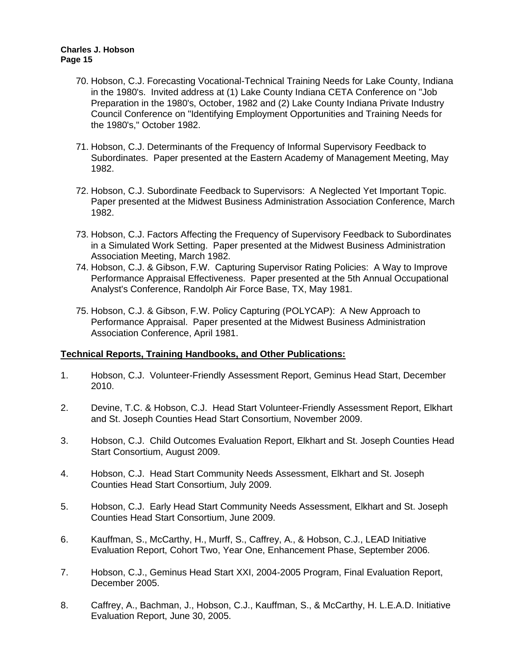- 70. Hobson, C.J. Forecasting Vocational-Technical Training Needs for Lake County, Indiana in the 1980's. Invited address at (1) Lake County Indiana CETA Conference on "Job Preparation in the 1980's, October, 1982 and (2) Lake County Indiana Private Industry Council Conference on "Identifying Employment Opportunities and Training Needs for the 1980's," October 1982.
- 71. Hobson, C.J. Determinants of the Frequency of Informal Supervisory Feedback to Subordinates. Paper presented at the Eastern Academy of Management Meeting, May 1982.
- 72. Hobson, C.J. Subordinate Feedback to Supervisors: A Neglected Yet Important Topic. Paper presented at the Midwest Business Administration Association Conference, March 1982.
- 73. Hobson, C.J. Factors Affecting the Frequency of Supervisory Feedback to Subordinates in a Simulated Work Setting. Paper presented at the Midwest Business Administration Association Meeting, March 1982.
- 74. Hobson, C.J. & Gibson, F.W. Capturing Supervisor Rating Policies: A Way to Improve Performance Appraisal Effectiveness. Paper presented at the 5th Annual Occupational Analyst's Conference, Randolph Air Force Base, TX, May 1981.
- 75. Hobson, C.J. & Gibson, F.W. Policy Capturing (POLYCAP): A New Approach to Performance Appraisal. Paper presented at the Midwest Business Administration Association Conference, April 1981.

# **Technical Reports, Training Handbooks, and Other Publications:**

- 1. Hobson, C.J. Volunteer-Friendly Assessment Report, Geminus Head Start, December 2010.
- 2. Devine, T.C. & Hobson, C.J. Head Start Volunteer-Friendly Assessment Report, Elkhart and St. Joseph Counties Head Start Consortium, November 2009.
- 3. Hobson, C.J. Child Outcomes Evaluation Report, Elkhart and St. Joseph Counties Head Start Consortium, August 2009.
- 4. Hobson, C.J. Head Start Community Needs Assessment, Elkhart and St. Joseph Counties Head Start Consortium, July 2009.
- 5. Hobson, C.J. Early Head Start Community Needs Assessment, Elkhart and St. Joseph Counties Head Start Consortium, June 2009.
- 6. Kauffman, S., McCarthy, H., Murff, S., Caffrey, A., & Hobson, C.J., LEAD Initiative Evaluation Report, Cohort Two, Year One, Enhancement Phase, September 2006.
- 7. Hobson, C.J., Geminus Head Start XXI, 2004-2005 Program, Final Evaluation Report, December 2005.
- 8. Caffrey, A., Bachman, J., Hobson, C.J., Kauffman, S., & McCarthy, H. L.E.A.D. Initiative Evaluation Report, June 30, 2005.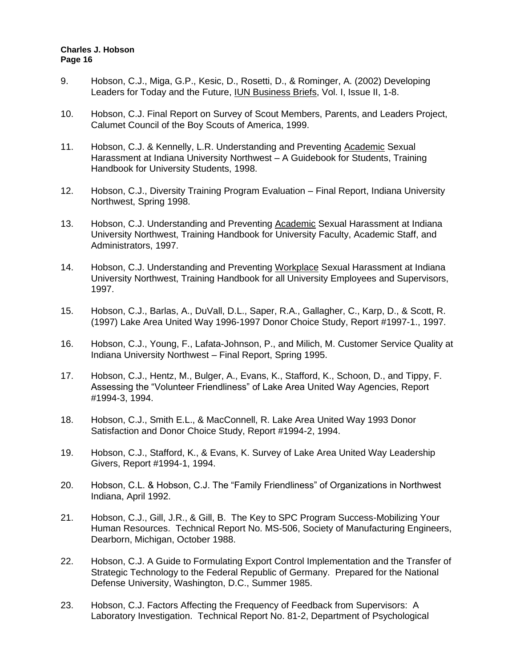- 9. Hobson, C.J., Miga, G.P., Kesic, D., Rosetti, D., & Rominger, A. (2002) Developing Leaders for Today and the Future, **IUN Business Briefs, Vol. I, Issue II, 1-8.**
- 10. Hobson, C.J. Final Report on Survey of Scout Members, Parents, and Leaders Project, Calumet Council of the Boy Scouts of America, 1999.
- 11. Hobson, C.J. & Kennelly, L.R. Understanding and Preventing Academic Sexual Harassment at Indiana University Northwest – A Guidebook for Students, Training Handbook for University Students, 1998.
- 12. Hobson, C.J., Diversity Training Program Evaluation Final Report, Indiana University Northwest, Spring 1998.
- 13. Hobson, C.J. Understanding and Preventing Academic Sexual Harassment at Indiana University Northwest, Training Handbook for University Faculty, Academic Staff, and Administrators, 1997.
- 14. Hobson, C.J. Understanding and Preventing Workplace Sexual Harassment at Indiana University Northwest, Training Handbook for all University Employees and Supervisors, 1997.
- 15. Hobson, C.J., Barlas, A., DuVall, D.L., Saper, R.A., Gallagher, C., Karp, D., & Scott, R. (1997) Lake Area United Way 1996-1997 Donor Choice Study, Report #1997-1., 1997.
- 16. Hobson, C.J., Young, F., Lafata-Johnson, P., and Milich, M. Customer Service Quality at Indiana University Northwest – Final Report, Spring 1995.
- 17. Hobson, C.J., Hentz, M., Bulger, A., Evans, K., Stafford, K., Schoon, D., and Tippy, F. Assessing the "Volunteer Friendliness" of Lake Area United Way Agencies, Report #1994-3, 1994.
- 18. Hobson, C.J., Smith E.L., & MacConnell, R. Lake Area United Way 1993 Donor Satisfaction and Donor Choice Study, Report #1994-2, 1994.
- 19. Hobson, C.J., Stafford, K., & Evans, K. Survey of Lake Area United Way Leadership Givers, Report #1994-1, 1994.
- 20. Hobson, C.L. & Hobson, C.J. The "Family Friendliness" of Organizations in Northwest Indiana, April 1992.
- 21. Hobson, C.J., Gill, J.R., & Gill, B. The Key to SPC Program Success-Mobilizing Your Human Resources. Technical Report No. MS-506, Society of Manufacturing Engineers, Dearborn, Michigan, October 1988.
- 22. Hobson, C.J. A Guide to Formulating Export Control Implementation and the Transfer of Strategic Technology to the Federal Republic of Germany. Prepared for the National Defense University, Washington, D.C., Summer 1985.
- 23. Hobson, C.J. Factors Affecting the Frequency of Feedback from Supervisors: A Laboratory Investigation. Technical Report No. 81-2, Department of Psychological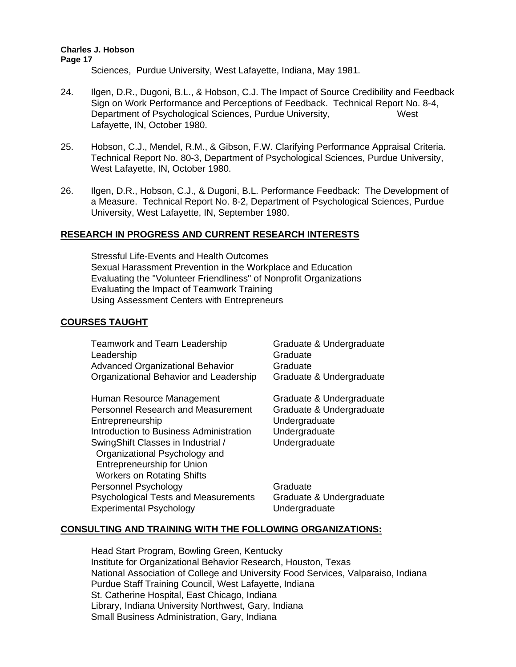Sciences, Purdue University, West Lafayette, Indiana, May 1981.

- 24. Ilgen, D.R., Dugoni, B.L., & Hobson, C.J. The Impact of Source Credibility and Feedback Sign on Work Performance and Perceptions of Feedback. Technical Report No. 8-4, Department of Psychological Sciences, Purdue University, West Lafayette, IN, October 1980.
- 25. Hobson, C.J., Mendel, R.M., & Gibson, F.W. Clarifying Performance Appraisal Criteria. Technical Report No. 80-3, Department of Psychological Sciences, Purdue University, West Lafayette, IN, October 1980.
- 26. Ilgen, D.R., Hobson, C.J., & Dugoni, B.L. Performance Feedback: The Development of a Measure. Technical Report No. 8-2, Department of Psychological Sciences, Purdue University, West Lafayette, IN, September 1980.

# **RESEARCH IN PROGRESS AND CURRENT RESEARCH INTERESTS**

Stressful Life-Events and Health Outcomes Sexual Harassment Prevention in the Workplace and Education Evaluating the "Volunteer Friendliness" of Nonprofit Organizations Evaluating the Impact of Teamwork Training Using Assessment Centers with Entrepreneurs

# **COURSES TAUGHT**

| Teamwork and Team Leadership<br>Leadership  | Graduate & Undergraduate<br>Graduate |
|---------------------------------------------|--------------------------------------|
| <b>Advanced Organizational Behavior</b>     | Graduate                             |
| Organizational Behavior and Leadership      | Graduate & Undergraduate             |
| Human Resource Management                   | Graduate & Undergraduate             |
| <b>Personnel Research and Measurement</b>   | Graduate & Undergraduate             |
| Entrepreneurship                            | Undergraduate                        |
| Introduction to Business Administration     | Undergraduate                        |
| SwingShift Classes in Industrial /          | Undergraduate                        |
| Organizational Psychology and               |                                      |
| <b>Entrepreneurship for Union</b>           |                                      |
| <b>Workers on Rotating Shifts</b>           |                                      |
| Personnel Psychology                        | Graduate                             |
| <b>Psychological Tests and Measurements</b> | Graduate & Undergraduate             |
| <b>Experimental Psychology</b>              | Undergraduate                        |

# **CONSULTING AND TRAINING WITH THE FOLLOWING ORGANIZATIONS:**

Head Start Program, Bowling Green, Kentucky Institute for Organizational Behavior Research, Houston, Texas National Association of College and University Food Services, Valparaiso, Indiana Purdue Staff Training Council, West Lafayette, Indiana St. Catherine Hospital, East Chicago, Indiana Library, Indiana University Northwest, Gary, Indiana Small Business Administration, Gary, Indiana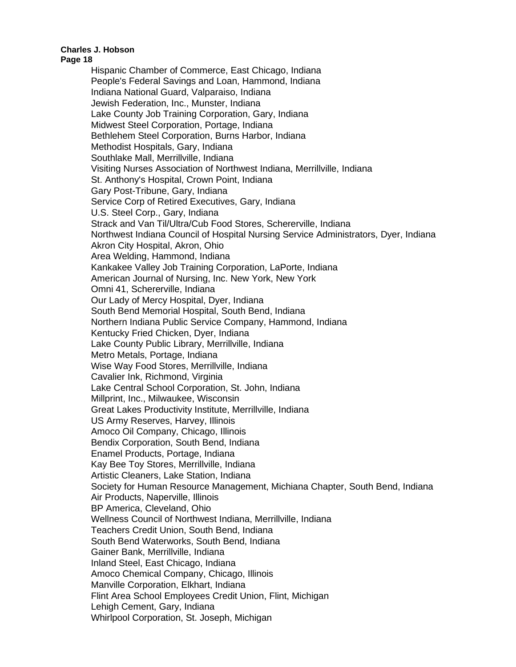#### **Page 18**

Hispanic Chamber of Commerce, East Chicago, Indiana People's Federal Savings and Loan, Hammond, Indiana Indiana National Guard, Valparaiso, Indiana Jewish Federation, Inc., Munster, Indiana Lake County Job Training Corporation, Gary, Indiana Midwest Steel Corporation, Portage, Indiana Bethlehem Steel Corporation, Burns Harbor, Indiana Methodist Hospitals, Gary, Indiana Southlake Mall, Merrillville, Indiana Visiting Nurses Association of Northwest Indiana, Merrillville, Indiana St. Anthony's Hospital, Crown Point, Indiana Gary Post-Tribune, Gary, Indiana Service Corp of Retired Executives, Gary, Indiana U.S. Steel Corp., Gary, Indiana Strack and Van Til/Ultra/Cub Food Stores, Schererville, Indiana Northwest Indiana Council of Hospital Nursing Service Administrators, Dyer, Indiana Akron City Hospital, Akron, Ohio Area Welding, Hammond, Indiana Kankakee Valley Job Training Corporation, LaPorte, Indiana American Journal of Nursing, Inc. New York, New York Omni 41, Schererville, Indiana Our Lady of Mercy Hospital, Dyer, Indiana South Bend Memorial Hospital, South Bend, Indiana Northern Indiana Public Service Company, Hammond, Indiana Kentucky Fried Chicken, Dyer, Indiana Lake County Public Library, Merrillville, Indiana Metro Metals, Portage, Indiana Wise Way Food Stores, Merrillville, Indiana Cavalier Ink, Richmond, Virginia Lake Central School Corporation, St. John, Indiana Millprint, Inc., Milwaukee, Wisconsin Great Lakes Productivity Institute, Merrillville, Indiana US Army Reserves, Harvey, Illinois Amoco Oil Company, Chicago, Illinois Bendix Corporation, South Bend, Indiana Enamel Products, Portage, Indiana Kay Bee Toy Stores, Merrillville, Indiana Artistic Cleaners, Lake Station, Indiana Society for Human Resource Management, Michiana Chapter, South Bend, Indiana Air Products, Naperville, Illinois BP America, Cleveland, Ohio Wellness Council of Northwest Indiana, Merrillville, Indiana Teachers Credit Union, South Bend, Indiana South Bend Waterworks, South Bend, Indiana Gainer Bank, Merrillville, Indiana Inland Steel, East Chicago, Indiana Amoco Chemical Company, Chicago, Illinois Manville Corporation, Elkhart, Indiana Flint Area School Employees Credit Union, Flint, Michigan Lehigh Cement, Gary, Indiana Whirlpool Corporation, St. Joseph, Michigan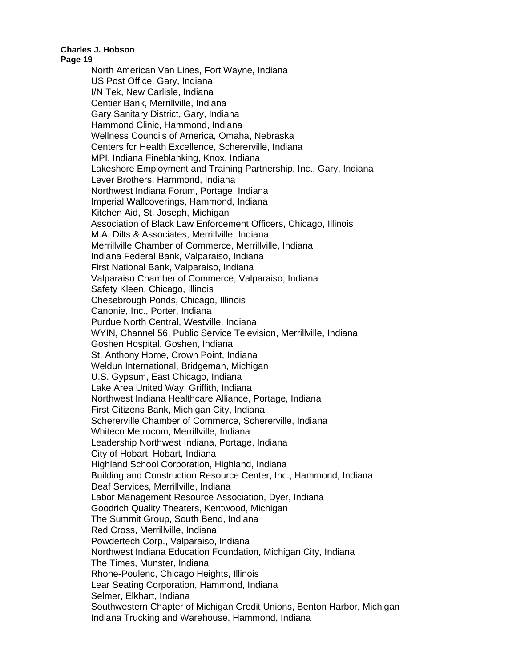#### **Page 19**

North American Van Lines, Fort Wayne, Indiana US Post Office, Gary, Indiana I/N Tek, New Carlisle, Indiana Centier Bank, Merrillville, Indiana Gary Sanitary District, Gary, Indiana Hammond Clinic, Hammond, Indiana Wellness Councils of America, Omaha, Nebraska Centers for Health Excellence, Schererville, Indiana MPI, Indiana Fineblanking, Knox, Indiana Lakeshore Employment and Training Partnership, Inc., Gary, Indiana Lever Brothers, Hammond, Indiana Northwest Indiana Forum, Portage, Indiana Imperial Wallcoverings, Hammond, Indiana Kitchen Aid, St. Joseph, Michigan Association of Black Law Enforcement Officers, Chicago, Illinois M.A. Dilts & Associates, Merrillville, Indiana Merrillville Chamber of Commerce, Merrillville, Indiana Indiana Federal Bank, Valparaiso, Indiana First National Bank, Valparaiso, Indiana Valparaiso Chamber of Commerce, Valparaiso, Indiana Safety Kleen, Chicago, Illinois Chesebrough Ponds, Chicago, Illinois Canonie, Inc., Porter, Indiana Purdue North Central, Westville, Indiana WYIN, Channel 56, Public Service Television, Merrillville, Indiana Goshen Hospital, Goshen, Indiana St. Anthony Home, Crown Point, Indiana Weldun International, Bridgeman, Michigan U.S. Gypsum, East Chicago, Indiana Lake Area United Way, Griffith, Indiana Northwest Indiana Healthcare Alliance, Portage, Indiana First Citizens Bank, Michigan City, Indiana Schererville Chamber of Commerce, Schererville, Indiana Whiteco Metrocom, Merrillville, Indiana Leadership Northwest Indiana, Portage, Indiana City of Hobart, Hobart, Indiana Highland School Corporation, Highland, Indiana Building and Construction Resource Center, Inc., Hammond, Indiana Deaf Services, Merrillville, Indiana Labor Management Resource Association, Dyer, Indiana Goodrich Quality Theaters, Kentwood, Michigan The Summit Group, South Bend, Indiana Red Cross, Merrillville, Indiana Powdertech Corp., Valparaiso, Indiana Northwest Indiana Education Foundation, Michigan City, Indiana The Times, Munster, Indiana Rhone-Poulenc, Chicago Heights, Illinois Lear Seating Corporation, Hammond, Indiana Selmer, Elkhart, Indiana Southwestern Chapter of Michigan Credit Unions, Benton Harbor, Michigan Indiana Trucking and Warehouse, Hammond, Indiana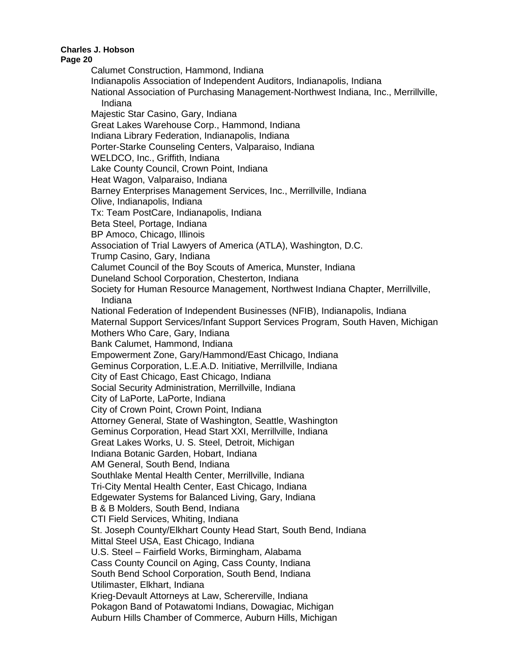#### **Page 20**

Calumet Construction, Hammond, Indiana Indianapolis Association of Independent Auditors, Indianapolis, Indiana National Association of Purchasing Management-Northwest Indiana, Inc., Merrillville, Indiana Majestic Star Casino, Gary, Indiana Great Lakes Warehouse Corp., Hammond, Indiana Indiana Library Federation, Indianapolis, Indiana Porter-Starke Counseling Centers, Valparaiso, Indiana WELDCO, Inc., Griffith, Indiana Lake County Council, Crown Point, Indiana Heat Wagon, Valparaiso, Indiana Barney Enterprises Management Services, Inc., Merrillville, Indiana Olive, Indianapolis, Indiana Tx: Team PostCare, Indianapolis, Indiana Beta Steel, Portage, Indiana BP Amoco, Chicago, Illinois Association of Trial Lawyers of America (ATLA), Washington, D.C. Trump Casino, Gary, Indiana Calumet Council of the Boy Scouts of America, Munster, Indiana Duneland School Corporation, Chesterton, Indiana Society for Human Resource Management, Northwest Indiana Chapter, Merrillville, Indiana National Federation of Independent Businesses (NFIB), Indianapolis, Indiana Maternal Support Services/Infant Support Services Program, South Haven, Michigan Mothers Who Care, Gary, Indiana Bank Calumet, Hammond, Indiana Empowerment Zone, Gary/Hammond/East Chicago, Indiana Geminus Corporation, L.E.A.D. Initiative, Merrillville, Indiana City of East Chicago, East Chicago, Indiana Social Security Administration, Merrillville, Indiana City of LaPorte, LaPorte, Indiana City of Crown Point, Crown Point, Indiana Attorney General, State of Washington, Seattle, Washington Geminus Corporation, Head Start XXI, Merrillville, Indiana Great Lakes Works, U. S. Steel, Detroit, Michigan Indiana Botanic Garden, Hobart, Indiana AM General, South Bend, Indiana Southlake Mental Health Center, Merrillville, Indiana Tri-City Mental Health Center, East Chicago, Indiana Edgewater Systems for Balanced Living, Gary, Indiana B & B Molders, South Bend, Indiana CTI Field Services, Whiting, Indiana St. Joseph County/Elkhart County Head Start, South Bend, Indiana Mittal Steel USA, East Chicago, Indiana U.S. Steel – Fairfield Works, Birmingham, Alabama Cass County Council on Aging, Cass County, Indiana South Bend School Corporation, South Bend, Indiana Utilimaster, Elkhart, Indiana Krieg-Devault Attorneys at Law, Schererville, Indiana Pokagon Band of Potawatomi Indians, Dowagiac, Michigan Auburn Hills Chamber of Commerce, Auburn Hills, Michigan